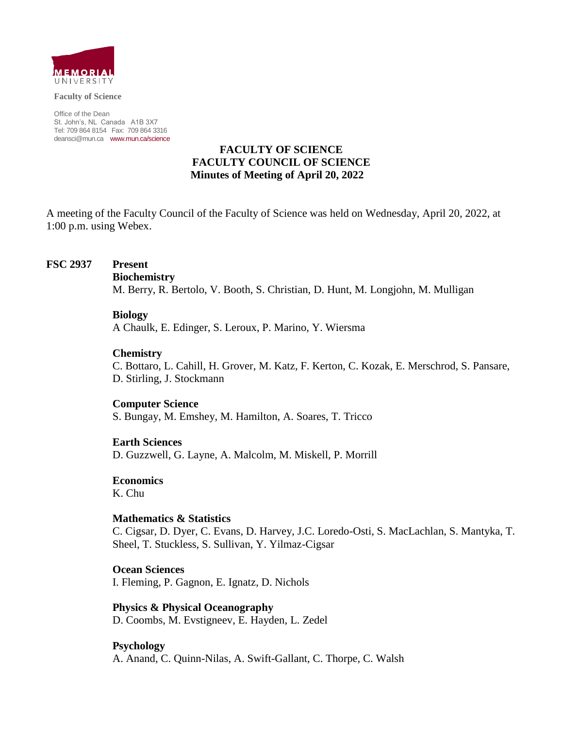

**Faculty of Science**

Office of the Dean St. John's, NL Canada A1B 3X7 Tel: 709 864 8154 Fax: 709 864 3316 [deansci@mun.ca](mailto:deansci@mun.ca) [www.mun.ca/science](http://www.mun.ca/science)

## **FACULTY OF SCIENCE FACULTY COUNCIL OF SCIENCE Minutes of Meeting of April 20, 2022**

A meeting of the Faculty Council of the Faculty of Science was held on Wednesday, April 20, 2022, at 1:00 p.m. using Webex.

### **FSC 2937 Present**

#### **Biochemistry**

M. Berry, R. Bertolo, V. Booth, S. Christian, D. Hunt, M. Longjohn, M. Mulligan

#### **Biology**

A Chaulk, E. Edinger, S. Leroux, P. Marino, Y. Wiersma

#### **Chemistry**

C. Bottaro, L. Cahill, H. Grover, M. Katz, F. Kerton, C. Kozak, E. Merschrod, S. Pansare, D. Stirling, J. Stockmann

#### **Computer Science**

S. Bungay, M. Emshey, M. Hamilton, A. Soares, T. Tricco

#### **Earth Sciences**

D. Guzzwell, G. Layne, A. Malcolm, M. Miskell, P. Morrill

#### **Economics**

K. Chu

#### **Mathematics & Statistics**

C. Cigsar, D. Dyer, C. Evans, D. Harvey, J.C. Loredo-Osti, S. MacLachlan, S. Mantyka, T. Sheel, T. Stuckless, S. Sullivan, Y. Yilmaz-Cigsar

### **Ocean Sciences** I. Fleming, P. Gagnon, E. Ignatz, D. Nichols

**Physics & Physical Oceanography** D. Coombs, M. Evstigneev, E. Hayden, L. Zedel

### **Psychology**

A. Anand, C. Quinn-Nilas, A. Swift-Gallant, C. Thorpe, C. Walsh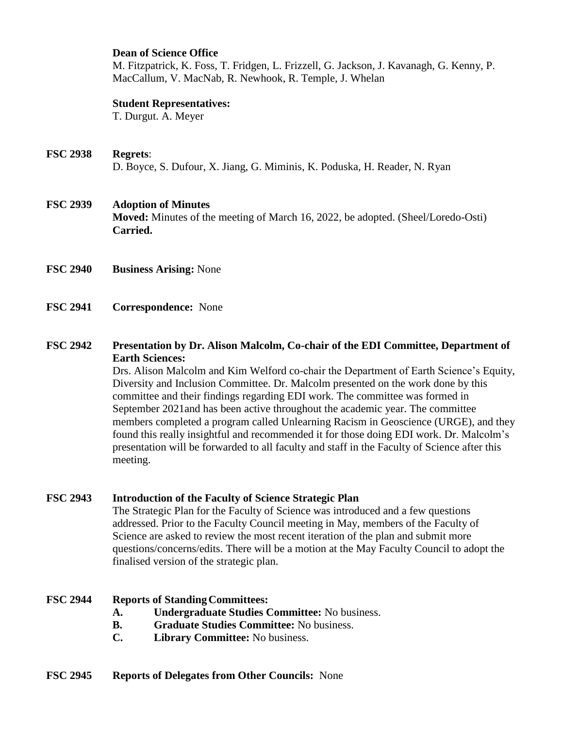### **Dean of Science Office**

M. Fitzpatrick, K. Foss, T. Fridgen, L. Frizzell, G. Jackson, J. Kavanagh, G. Kenny, P. MacCallum, V. MacNab, R. Newhook, R. Temple, J. Whelan

### **Student Representatives:**

T. Durgut. A. Meyer

## **FSC 2938 Regrets**: D. Boyce, S. Dufour, X. Jiang, G. Miminis, K. Poduska, H. Reader, N. Ryan

## **FSC 2939 Adoption of Minutes**

**Moved:** Minutes of the meeting of March 16, 2022, be adopted. (Sheel/Loredo-Osti) **Carried.**

- **FSC 2940 Business Arising:** None
- **FSC 2941 Correspondence:** None

## **FSC 2942 Presentation by Dr. Alison Malcolm, Co-chair of the EDI Committee, Department of Earth Sciences:**

Drs. Alison Malcolm and Kim Welford co-chair the Department of Earth Science's Equity, Diversity and Inclusion Committee. Dr. Malcolm presented on the work done by this committee and their findings regarding EDI work. The committee was formed in September 2021and has been active throughout the academic year. The committee members completed a program called Unlearning Racism in Geoscience (URGE), and they found this really insightful and recommended it for those doing EDI work. Dr. Malcolm's presentation will be forwarded to all faculty and staff in the Faculty of Science after this meeting.

## **FSC 2943 Introduction of the Faculty of Science Strategic Plan**

The Strategic Plan for the Faculty of Science was introduced and a few questions addressed. Prior to the Faculty Council meeting in May, members of the Faculty of Science are asked to review the most recent iteration of the plan and submit more questions/concerns/edits. There will be a motion at the May Faculty Council to adopt the finalised version of the strategic plan.

### **FSC 2944 Reports of StandingCommittees:**

- **A. Undergraduate Studies Committee:** No business.
- **B. Graduate Studies Committee:** No business.
- **C. Library Committee:** No business.

### **FSC 2945 Reports of Delegates from Other Councils:** None